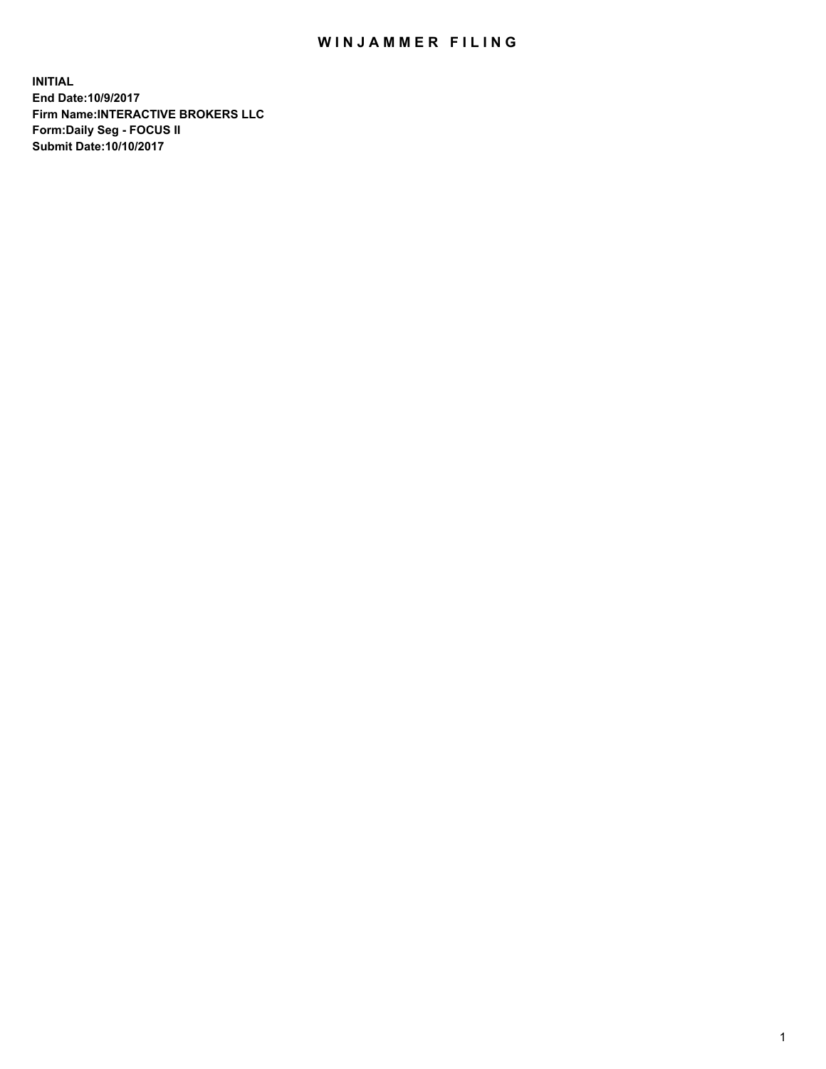## WIN JAMMER FILING

**INITIAL End Date:10/9/2017 Firm Name:INTERACTIVE BROKERS LLC Form:Daily Seg - FOCUS II Submit Date:10/10/2017**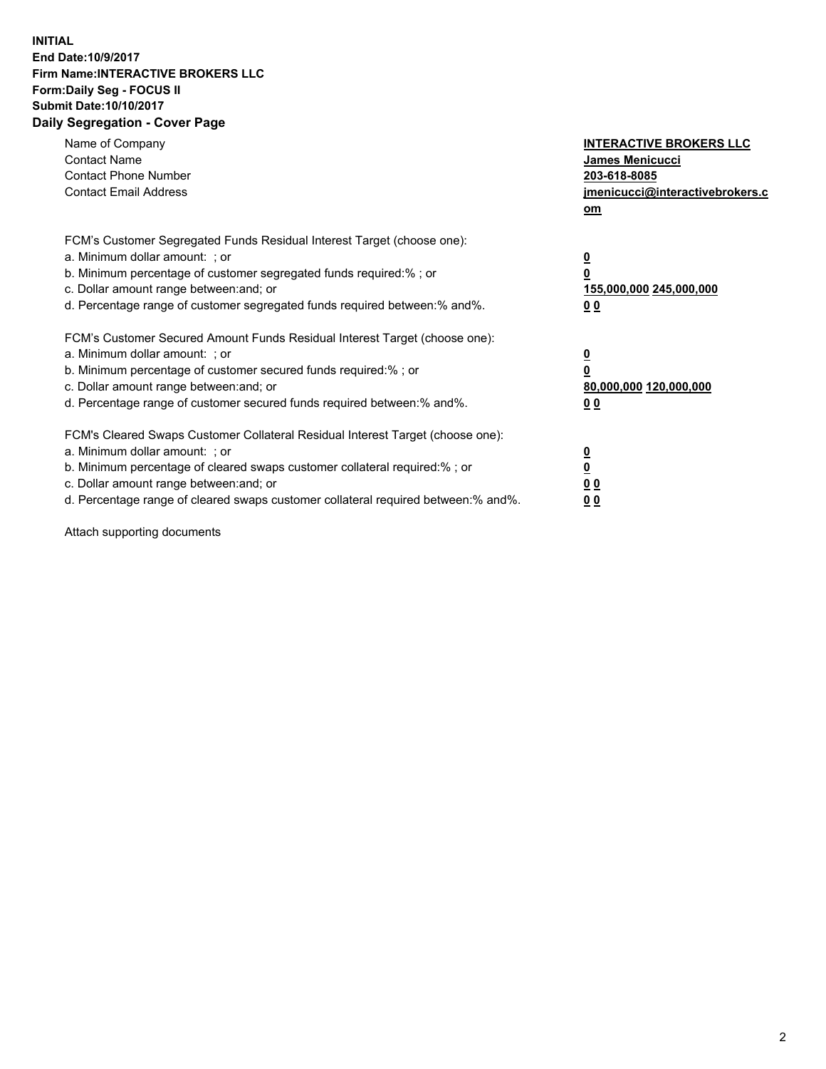## **INITIAL End Date:10/9/2017 Firm Name:INTERACTIVE BROKERS LLC Form:Daily Seg - FOCUS II Submit Date:10/10/2017 Daily Segregation - Cover Page**

| Name of Company<br><b>Contact Name</b><br><b>Contact Phone Number</b><br><b>Contact Email Address</b>                                                                                                                                                                                                                          | <b>INTERACTIVE BROKERS LLC</b><br><b>James Menicucci</b><br>203-618-8085<br>jmenicucci@interactivebrokers.c<br>om |
|--------------------------------------------------------------------------------------------------------------------------------------------------------------------------------------------------------------------------------------------------------------------------------------------------------------------------------|-------------------------------------------------------------------------------------------------------------------|
| FCM's Customer Segregated Funds Residual Interest Target (choose one):<br>a. Minimum dollar amount: ; or<br>b. Minimum percentage of customer segregated funds required:%; or<br>c. Dollar amount range between: and; or<br>d. Percentage range of customer segregated funds required between:% and%.                          | $\overline{\mathbf{0}}$<br>0<br>155,000,000 245,000,000<br>0 <sub>0</sub>                                         |
| FCM's Customer Secured Amount Funds Residual Interest Target (choose one):<br>a. Minimum dollar amount: ; or<br>b. Minimum percentage of customer secured funds required:%; or<br>c. Dollar amount range between: and; or<br>d. Percentage range of customer secured funds required between: % and %.                          | $\overline{\mathbf{0}}$<br>0<br>80,000,000 120,000,000<br>0 <sub>0</sub>                                          |
| FCM's Cleared Swaps Customer Collateral Residual Interest Target (choose one):<br>a. Minimum dollar amount: ; or<br>b. Minimum percentage of cleared swaps customer collateral required:% ; or<br>c. Dollar amount range between: and; or<br>d. Percentage range of cleared swaps customer collateral required between:% and%. | $\overline{\mathbf{0}}$<br>$\overline{\mathbf{0}}$<br>0 <sub>0</sub><br><u>00</u>                                 |

Attach supporting documents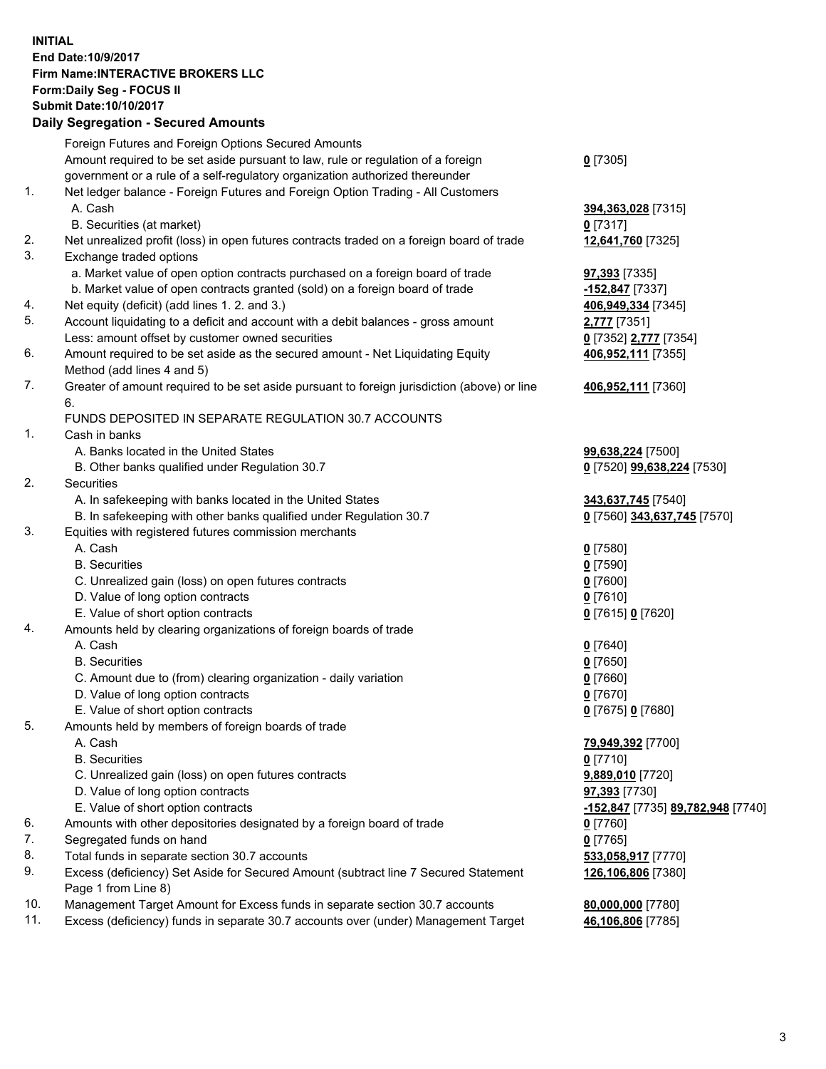## **INITIAL End Date:10/9/2017 Firm Name:INTERACTIVE BROKERS LLC Form:Daily Seg - FOCUS II Submit Date:10/10/2017**

|     | <b>Daily Segregation - Secured Amounts</b>                                                  |                                   |
|-----|---------------------------------------------------------------------------------------------|-----------------------------------|
|     | Foreign Futures and Foreign Options Secured Amounts                                         |                                   |
|     | Amount required to be set aside pursuant to law, rule or regulation of a foreign            | $0$ [7305]                        |
|     | government or a rule of a self-regulatory organization authorized thereunder                |                                   |
| 1.  | Net ledger balance - Foreign Futures and Foreign Option Trading - All Customers             |                                   |
|     | A. Cash                                                                                     | 394,363,028 [7315]                |
|     | B. Securities (at market)                                                                   | $0$ [7317]                        |
| 2.  | Net unrealized profit (loss) in open futures contracts traded on a foreign board of trade   | 12,641,760 [7325]                 |
| 3.  | Exchange traded options                                                                     |                                   |
|     | a. Market value of open option contracts purchased on a foreign board of trade              | <b>97,393</b> [7335]              |
|     | b. Market value of open contracts granted (sold) on a foreign board of trade                | -152,847 [7337]                   |
| 4.  | Net equity (deficit) (add lines 1.2. and 3.)                                                | 406,949,334 [7345]                |
| 5.  | Account liquidating to a deficit and account with a debit balances - gross amount           | <b>2,777</b> [7351]               |
|     | Less: amount offset by customer owned securities                                            | 0 [7352] 2,777 [7354]             |
| 6.  | Amount required to be set aside as the secured amount - Net Liquidating Equity              | 406,952,111 [7355]                |
|     | Method (add lines 4 and 5)                                                                  |                                   |
| 7.  | Greater of amount required to be set aside pursuant to foreign jurisdiction (above) or line | 406,952,111 [7360]                |
|     | 6.                                                                                          |                                   |
|     | FUNDS DEPOSITED IN SEPARATE REGULATION 30.7 ACCOUNTS                                        |                                   |
| 1.  | Cash in banks                                                                               |                                   |
|     | A. Banks located in the United States                                                       | 99,638,224 [7500]                 |
|     | B. Other banks qualified under Regulation 30.7                                              | 0 [7520] 99,638,224 [7530]        |
| 2.  | Securities                                                                                  |                                   |
|     | A. In safekeeping with banks located in the United States                                   | 343,637,745 [7540]                |
|     | B. In safekeeping with other banks qualified under Regulation 30.7                          | 0 [7560] 343,637,745 [7570]       |
| 3.  | Equities with registered futures commission merchants                                       |                                   |
|     | A. Cash                                                                                     | $0$ [7580]                        |
|     | <b>B.</b> Securities                                                                        | $0$ [7590]                        |
|     | C. Unrealized gain (loss) on open futures contracts                                         | $0$ [7600]                        |
|     | D. Value of long option contracts                                                           | $0$ [7610]                        |
|     | E. Value of short option contracts                                                          | 0 [7615] 0 [7620]                 |
| 4.  | Amounts held by clearing organizations of foreign boards of trade                           |                                   |
|     | A. Cash                                                                                     | $0$ [7640]                        |
|     | <b>B.</b> Securities                                                                        | $0$ [7650]                        |
|     | C. Amount due to (from) clearing organization - daily variation                             | $0$ [7660]                        |
|     | D. Value of long option contracts                                                           | $0$ [7670]                        |
|     | E. Value of short option contracts                                                          | 0 [7675] 0 [7680]                 |
| 5.  | Amounts held by members of foreign boards of trade                                          |                                   |
|     | A. Cash                                                                                     | 79,949,392 [7700]                 |
|     | <b>B.</b> Securities                                                                        | $0$ [7710]                        |
|     | C. Unrealized gain (loss) on open futures contracts                                         | 9,889,010 [7720]                  |
|     | D. Value of long option contracts                                                           | <b>97,393</b> [7730]              |
|     | E. Value of short option contracts                                                          | -152,847 [7735] 89,782,948 [7740] |
| 6.  | Amounts with other depositories designated by a foreign board of trade                      | 0 [7760]                          |
| 7.  | Segregated funds on hand                                                                    | $0$ [7765]                        |
| 8.  | Total funds in separate section 30.7 accounts                                               | 533,058,917 [7770]                |
| 9.  | Excess (deficiency) Set Aside for Secured Amount (subtract line 7 Secured Statement         | 126,106,806 [7380]                |
|     | Page 1 from Line 8)                                                                         |                                   |
| 10. | Management Target Amount for Excess funds in separate section 30.7 accounts                 | 80,000,000 [7780]                 |
| 11. | Excess (deficiency) funds in separate 30.7 accounts over (under) Management Target          | 46,106,806 [7785]                 |
|     |                                                                                             |                                   |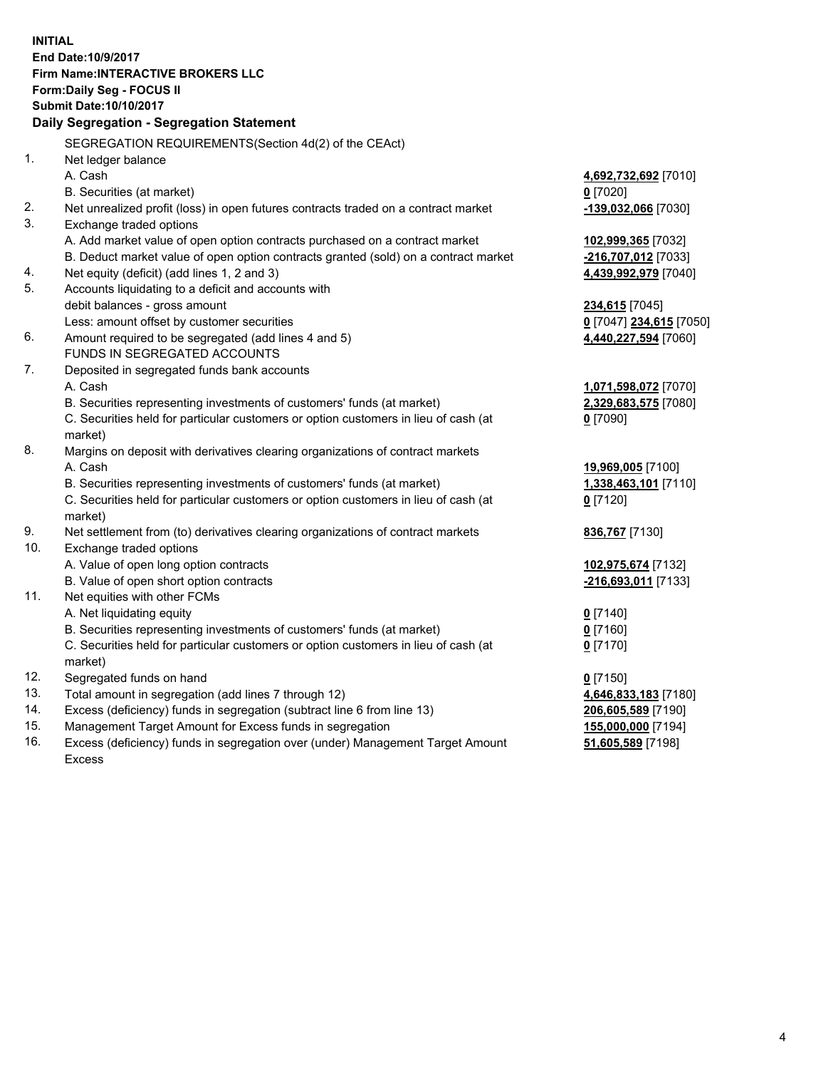**INITIAL End Date:10/9/2017 Firm Name:INTERACTIVE BROKERS LLC Form:Daily Seg - FOCUS II Submit Date:10/10/2017 Daily Segregation - Segregation Statement** SEGREGATION REQUIREMENTS(Section 4d(2) of the CEAct) 1. Net ledger balance A. Cash **4,692,732,692** [7010] B. Securities (at market) **0** [7020] 2. Net unrealized profit (loss) in open futures contracts traded on a contract market **-139,032,066** [7030] 3. Exchange traded options A. Add market value of open option contracts purchased on a contract market **102,999,365** [7032] B. Deduct market value of open option contracts granted (sold) on a contract market **-216,707,012** [7033] 4. Net equity (deficit) (add lines 1, 2 and 3) **4,439,992,979** [7040] 5. Accounts liquidating to a deficit and accounts with debit balances - gross amount **234,615** [7045] Less: amount offset by customer securities **0** [7047] **234,615** [7050] 6. Amount required to be segregated (add lines 4 and 5) **4,440,227,594** [7060] FUNDS IN SEGREGATED ACCOUNTS 7. Deposited in segregated funds bank accounts A. Cash **1,071,598,072** [7070] B. Securities representing investments of customers' funds (at market) **2,329,683,575** [7080] C. Securities held for particular customers or option customers in lieu of cash (at market) **0** [7090] 8. Margins on deposit with derivatives clearing organizations of contract markets A. Cash **19,969,005** [7100] B. Securities representing investments of customers' funds (at market) **1,338,463,101** [7110] C. Securities held for particular customers or option customers in lieu of cash (at market) **0** [7120] 9. Net settlement from (to) derivatives clearing organizations of contract markets **836,767** [7130] 10. Exchange traded options A. Value of open long option contracts **102,975,674** [7132] B. Value of open short option contracts **-216,693,011** [7133] 11. Net equities with other FCMs A. Net liquidating equity **0** [7140] B. Securities representing investments of customers' funds (at market) **0** [7160] C. Securities held for particular customers or option customers in lieu of cash (at market) **0** [7170] 12. Segregated funds on hand **0** [7150] 13. Total amount in segregation (add lines 7 through 12) **4,646,833,183** [7180] 14. Excess (deficiency) funds in segregation (subtract line 6 from line 13) **206,605,589** [7190] 15. Management Target Amount for Excess funds in segregation **155,000,000** [7194]

16. Excess (deficiency) funds in segregation over (under) Management Target Amount Excess

**51,605,589** [7198]